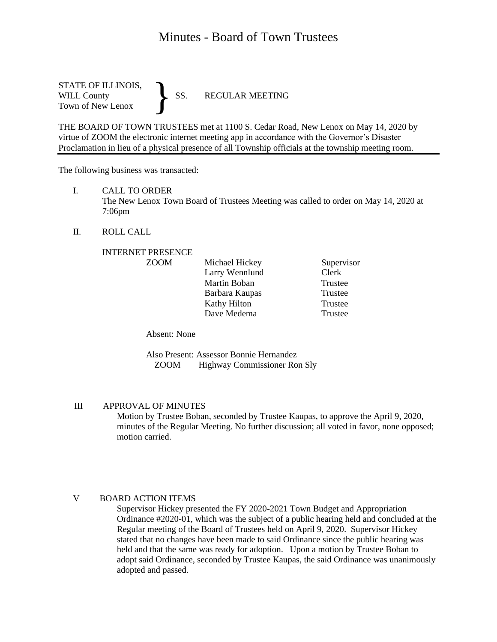# Minutes - Board of Town Trustees

STATE OF ILLINOIS,<br>WILL County SS. WILL County SS. REGULAR MEETING Town of New Lenox }

THE BOARD OF TOWN TRUSTEES met at 1100 S. Cedar Road, New Lenox on May 14, 2020 by virtue of ZOOM the electronic internet meeting app in accordance with the Governor's Disaster Proclamation in lieu of a physical presence of all Township officials at the township meeting room.

The following business was transacted:

I. CALL TO ORDER

The New Lenox Town Board of Trustees Meeting was called to order on May 14, 2020 at 7:06pm

II. ROLL CALL

#### INTERNET PRESENCE

| <b>ZOOM</b> | Michael Hickey | Supervisor |
|-------------|----------------|------------|
|             | Larry Wennlund | Clerk      |
|             | Martin Boban   | Trustee    |
|             | Barbara Kaupas | Trustee    |
|             | Kathy Hilton   | Trustee    |
|             | Dave Medema    | Trustee    |

Absent: None

Also Present: Assessor Bonnie Hernandez ZOOM Highway Commissioner Ron Sly

## III APPROVAL OF MINUTES

Motion by Trustee Boban, seconded by Trustee Kaupas, to approve the April 9, 2020, minutes of the Regular Meeting. No further discussion; all voted in favor, none opposed; motion carried.

#### V BOARD ACTION ITEMS

Supervisor Hickey presented the FY 2020-2021 Town Budget and Appropriation Ordinance #2020-01, which was the subject of a public hearing held and concluded at the Regular meeting of the Board of Trustees held on April 9, 2020. Supervisor Hickey stated that no changes have been made to said Ordinance since the public hearing was held and that the same was ready for adoption. Upon a motion by Trustee Boban to adopt said Ordinance, seconded by Trustee Kaupas, the said Ordinance was unanimously adopted and passed.